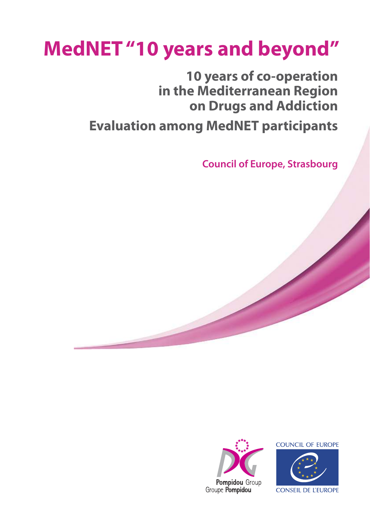# **MedNET "10 years and beyond"**

**10 years of co-operation in the Mediterranean Region on Drugs and Addiction**

**Evaluation among MedNET participants**

**Council of Europe, Strasbourg**



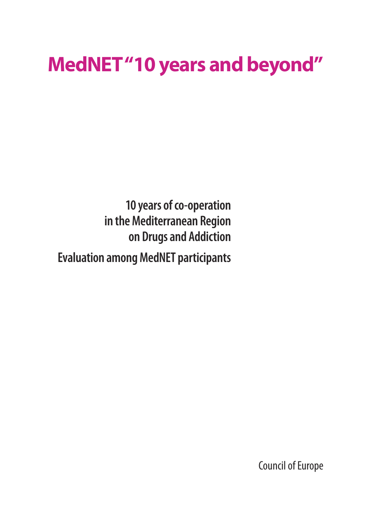# **MedNET "10 years and beyond"**

**10 years of co-operation in the Mediterranean Region on Drugs and Addiction Evaluation among MedNET participants**

Council of Europe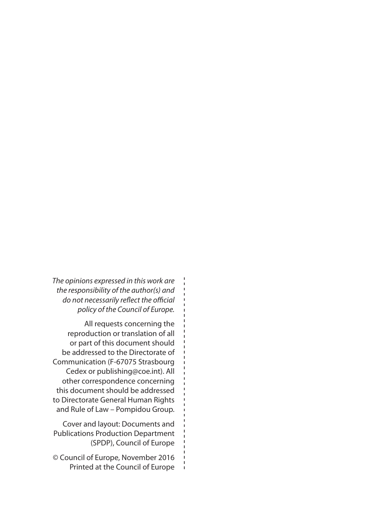*The opinions expressed in this work are the responsibility of the author(s) and do not necessarily reflect the official policy of the Council of Europe.* 

All requests concerning the reproduction or translation of all or part of this document should be addressed to the Directorate of Communication (F-67075 Strasbourg Cedex or publishing@coe.int). All other correspondence concerning this document should be addressed to Directorate General Human Rights and Rule of Law – Pompidou Group.

Cover and layout: Documents and Publications Production Department (SPDP), Council of Europe

© Council of Europe, November 2016 Printed at the Council of Europe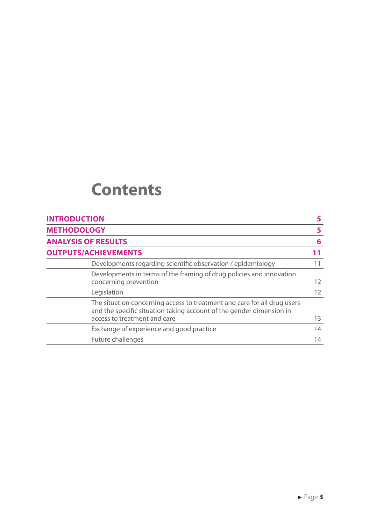### **Contents**

| <b>INTRODUCTION</b><br><b>METHODOLOGY</b><br><b>ANALYSIS OF RESULTS</b>                                                                                                          | 5<br>5<br>6       |                                                              |    |
|----------------------------------------------------------------------------------------------------------------------------------------------------------------------------------|-------------------|--------------------------------------------------------------|----|
|                                                                                                                                                                                  |                   | <b>OUTPUTS/ACHIEVEMENTS</b>                                  | 11 |
|                                                                                                                                                                                  |                   | Developments regarding scientific observation / epidemiology | 11 |
| Developments in terms of the framing of drug policies and innovation<br>concerning prevention                                                                                    | $12 \overline{ }$ |                                                              |    |
| Legislation                                                                                                                                                                      | 12                |                                                              |    |
| The situation concerning access to treatment and care for all drug users<br>and the specific situation taking account of the gender dimension in<br>access to treatment and care | 13                |                                                              |    |
| Exchange of experience and good practice                                                                                                                                         | 14                |                                                              |    |
| <b>Future challenges</b>                                                                                                                                                         | 14                |                                                              |    |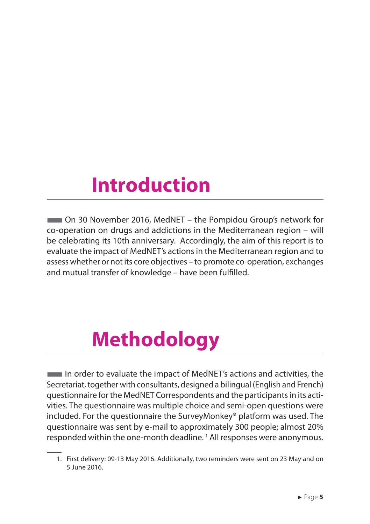# **Introduction**

■On 30 November 2016, MedNET – the Pompidou Group's network for co-operation on drugs and addictions in the Mediterranean region – will be celebrating its 10th anniversary. Accordingly, the aim of this report is to evaluate the impact of MedNET's actions in the Mediterranean region and to assess whether or not its core objectives – to promote co-operation, exchanges and mutual transfer of knowledge – have been fulfilled.

# **Methodology**

In order to evaluate the impact of MedNET's actions and activities, the Secretariat, together with consultants, designed a bilingual (English and French) questionnaire for the MedNET Correspondents and the participants in its activities. The questionnaire was multiple choice and semi-open questions were included. For the questionnaire the SurveyMonkey® platform was used. The questionnaire was sent by e-mail to approximately 300 people; almost 20% responded within the one-month deadline. <sup>1</sup> All responses were anonymous.

<sup>1.</sup> First delivery: 09-13 May 2016. Additionally, two reminders were sent on 23 May and on 5 June 2016.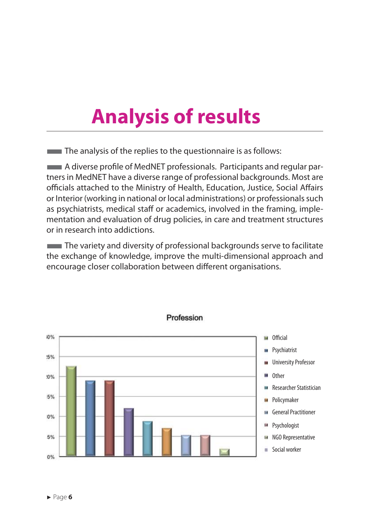# **Analysis of results**

 $\blacksquare$  The analysis of the replies to the questionnaire is as follows:

**EXECUTE:** A diverse profile of MedNET professionals. Participants and regular partners in MedNET have a diverse range of professional backgrounds. Most are officials attached to the Ministry of Health, Education, Justice, Social Affairs or Interior (working in national or local administrations) or professionals such as psychiatrists, medical staff or academics, involved in the framing, implementation and evaluation of drug policies, in care and treatment structures or in research into addictions.

**The variety and diversity of professional backgrounds serve to facilitate** the exchange of knowledge, improve the multi-dimensional approach and encourage closer collaboration between different organisations.



► Page **6**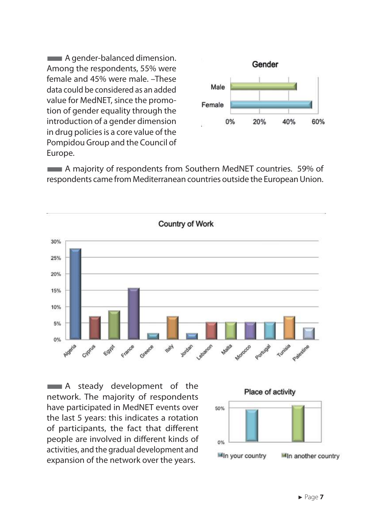**A** gender-balanced dimension. Among the respondents, 55% were female and 45% were male. -These data could be considered as an added value for MedNET, since the promotion of gender equality through the introduction of a gender dimension in drug policies is a core value of the Pompidou Group and the Council of Europe.



■A majority of respondents from Southern MedNET countries. 59% of respondents came from Mediterranean countries outside the European Union.



**EXECUTE:** A steady development of the network. The majority of respondents have participated in MedNET events over the last 5 years: this indicates a rotation of participants, the fact that different people are involved in different kinds of activities, and the gradual development and expansion of the network over the years.

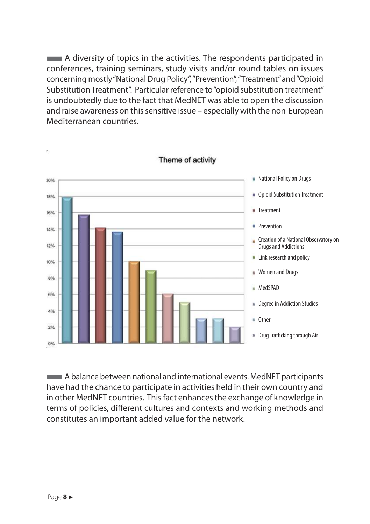■A diversity of topics in the activities. The respondents participated in conferences, training seminars, study visits and/or round tables on issues concerning mostly "National Drug Policy", "Prevention", "Treatment" and "Opioid Substitution Treatment". Particular reference to "opioid substitution treatment" is undoubtedly due to the fact that MedNET was able to open the discussion and raise awareness on this sensitive issue – especially with the non-European Mediterranean countries.



**EXECUTE:** A balance between national and international events. MedNET participants have had the chance to participate in activities held in their own country and in other MedNET countries. This fact enhances the exchange of knowledge in terms of policies, different cultures and contexts and working methods and constitutes an important added value for the network.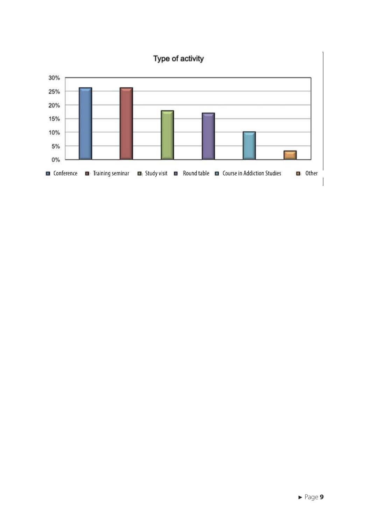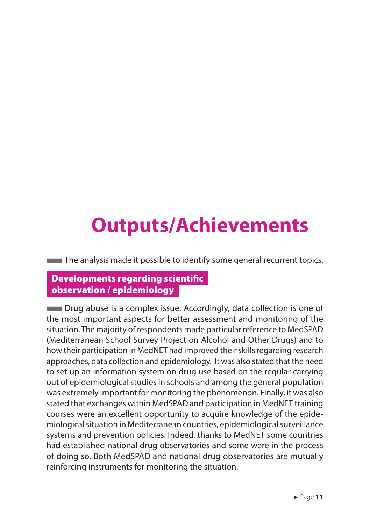# **Outputs/Achievements**

**The analysis made it possible to identify some general recurrent topics.** 

### Developments regarding scientific observation / epidemiology

**EXECUTE:** Drug abuse is a complex issue. Accordingly, data collection is one of the most important aspects for better assessment and monitoring of the situation. The majority of respondents made particular reference to MedSPAD (Mediterranean School Survey Project on Alcohol and Other Drugs) and to how their participation in MedNET had improved their skills regarding research approaches, data collection and epidemiology. It was also stated that the need to set up an information system on drug use based on the regular carrying out of epidemiological studies in schools and among the general population was extremely important for monitoring the phenomenon. Finally, it was also stated that exchanges within MedSPAD and participation in MedNET training courses were an excellent opportunity to acquire knowledge of the epidemiological situation in Mediterranean countries, epidemiological surveillance systems and prevention policies. Indeed, thanks to MedNET some countries had established national drug observatories and some were in the process of doing so. Both MedSPAD and national drug observatories are mutually reinforcing instruments for monitoring the situation.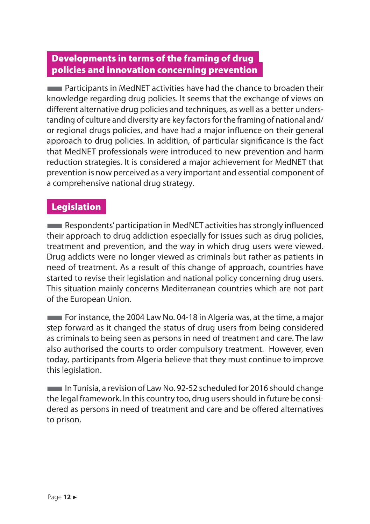### Developments in terms of the framing of drug policies and innovation concerning prevention

**EXTERNATION Participants in MedNET activities have had the chance to broaden their** knowledge regarding drug policies. It seems that the exchange of views on different alternative drug policies and techniques, as well as a better understanding of culture and diversity are key factors for the framing of national and/ or regional drugs policies, and have had a major influence on their general approach to drug policies. In addition, of particular significance is the fact that MedNET professionals were introduced to new prevention and harm reduction strategies. It is considered a major achievement for MedNET that prevention is now perceived as a very important and essential component of a comprehensive national drug strategy.

### **Legislation**

**EXECUTE:** Respondents' participation in MedNET activities has strongly influenced their approach to drug addiction especially for issues such as drug policies, treatment and prevention, and the way in which drug users were viewed. Drug addicts were no longer viewed as criminals but rather as patients in need of treatment. As a result of this change of approach, countries have started to revise their legislation and national policy concerning drug users. This situation mainly concerns Mediterranean countries which are not part of the European Union.

■For instance, the 2004 Law No. 04-18 in Algeria was, at the time, a major step forward as it changed the status of drug users from being considered as criminals to being seen as persons in need of treatment and care. The law also authorised the courts to order compulsory treatment. However, even today, participants from Algeria believe that they must continue to improve this legislation.

In Tunisia, a revision of Law No. 92-52 scheduled for 2016 should change the legal framework. In this country too, drug users should in future be considered as persons in need of treatment and care and be offered alternatives to prison.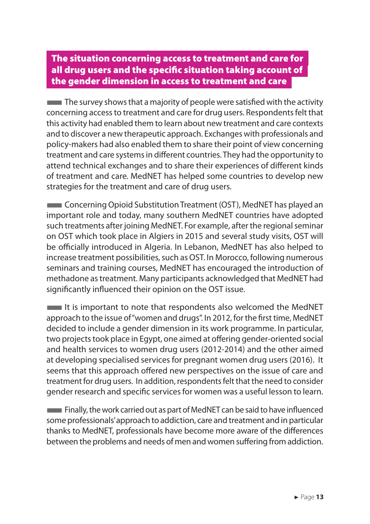### The situation concerning access to treatment and care for all drug users and the specific situation taking account of the gender dimension in access to treatment and care

 $\blacksquare$  The survey shows that a majority of people were satisfied with the activity concerning access to treatment and care for drug users. Respondents felt that this activity had enabled them to learn about new treatment and care contexts and to discover a new therapeutic approach. Exchanges with professionals and policy-makers had also enabled them to share their point of view concerning treatment and care systems in different countries. They had the opportunity to attend technical exchanges and to share their experiences of different kinds of treatment and care. MedNET has helped some countries to develop new strategies for the treatment and care of drug users.

**EXECONCERNITY Concerning Opioid Substitution Treatment (OST), MedNET has played an** important role and today, many southern MedNET countries have adopted such treatments after joining MedNET. For example, after the regional seminar on OST which took place in Algiers in 2015 and several study visits, OST will be officially introduced in Algeria. In Lebanon, MedNET has also helped to increase treatment possibilities, such as OST. In Morocco, following numerous seminars and training courses, MedNET has encouraged the introduction of methadone as treatment. Many participants acknowledged that MedNET had significantly influenced their opinion on the OST issue.

 $\blacksquare$  It is important to note that respondents also welcomed the MedNET approach to the issue of "women and drugs". In 2012, for the first time, MedNET decided to include a gender dimension in its work programme. In particular, two projects took place in Egypt, one aimed at offering gender-oriented social and health services to women drug users (2012-2014) and the other aimed at developing specialised services for pregnant women drug users (2016). It seems that this approach offered new perspectives on the issue of care and treatment for drug users. In addition, respondents felt that the need to consider gender research and specific services for women was a useful lesson to learn.

**EXALGE 2015** Finally, the work carried out as part of MedNET can be said to have influenced some professionals' approach to addiction, care and treatment and in particular thanks to MedNET, professionals have become more aware of the differences between the problems and needs of men and women suffering from addiction.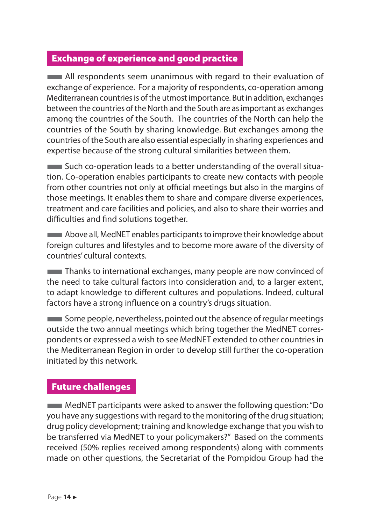#### Exchange of experience and good practice

**EXECUTE:** All respondents seem unanimous with regard to their evaluation of exchange of experience. For a majority of respondents, co-operation among Mediterranean countries is of the utmost importance. But in addition, exchanges between the countries of the North and the South are as important as exchanges among the countries of the South. The countries of the North can help the countries of the South by sharing knowledge. But exchanges among the countries of the South are also essential especially in sharing experiences and expertise because of the strong cultural similarities between them.

■Such co-operation leads to a better understanding of the overall situation. Co-operation enables participants to create new contacts with people from other countries not only at official meetings but also in the margins of those meetings. It enables them to share and compare diverse experiences, treatment and care facilities and policies, and also to share their worries and difficulties and find solutions together.

**EXECUTE:** Above all, MedNET enables participants to improve their knowledge about foreign cultures and lifestyles and to become more aware of the diversity of countries' cultural contexts.

**Thanks to international exchanges, many people are now convinced of** the need to take cultural factors into consideration and, to a larger extent, to adapt knowledge to different cultures and populations. Indeed, cultural factors have a strong influence on a country's drugs situation.

■Some people, nevertheless, pointed out the absence of regular meetings outside the two annual meetings which bring together the MedNET correspondents or expressed a wish to see MedNET extended to other countries in the Mediterranean Region in order to develop still further the co-operation initiated by this network.

### Future challenges

■MedNET participants were asked to answer the following question: "Do you have any suggestions with regard to the monitoring of the drug situation; drug policy development; training and knowledge exchange that you wish to be transferred via MedNET to your policymakers?" Based on the comments received (50% replies received among respondents) along with comments made on other questions, the Secretariat of the Pompidou Group had the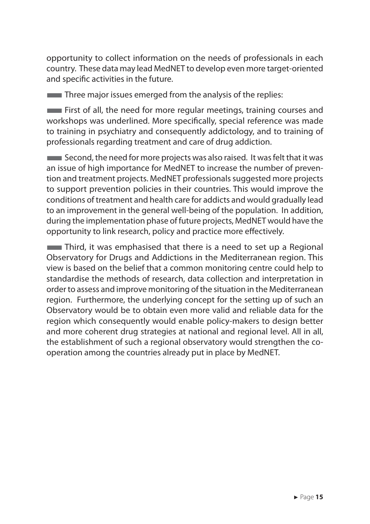opportunity to collect information on the needs of professionals in each country. These data may lead MedNET to develop even more target-oriented and specific activities in the future.

 $\blacksquare$  Three major issues emerged from the analysis of the replies:

 $\blacksquare$  First of all, the need for more regular meetings, training courses and workshops was underlined. More specifically, special reference was made to training in psychiatry and consequently addictology, and to training of professionals regarding treatment and care of drug addiction.

**EXECOLOGE SECOND**, the need for more projects was also raised. It was felt that it was an issue of high importance for MedNET to increase the number of prevention and treatment projects. MedNET professionals suggested more projects to support prevention policies in their countries. This would improve the conditions of treatment and health care for addicts and would gradually lead to an improvement in the general well-being of the population. In addition, during the implementation phase of future projects, MedNET would have the opportunity to link research, policy and practice more effectively.

**Third, it was emphasised that there is a need to set up a Regional** Observatory for Drugs and Addictions in the Mediterranean region. This view is based on the belief that a common monitoring centre could help to standardise the methods of research, data collection and interpretation in order to assess and improve monitoring of the situation in the Mediterranean region. Furthermore, the underlying concept for the setting up of such an Observatory would be to obtain even more valid and reliable data for the region which consequently would enable policy-makers to design better and more coherent drug strategies at national and regional level. All in all, the establishment of such a regional observatory would strengthen the cooperation among the countries already put in place by MedNET.